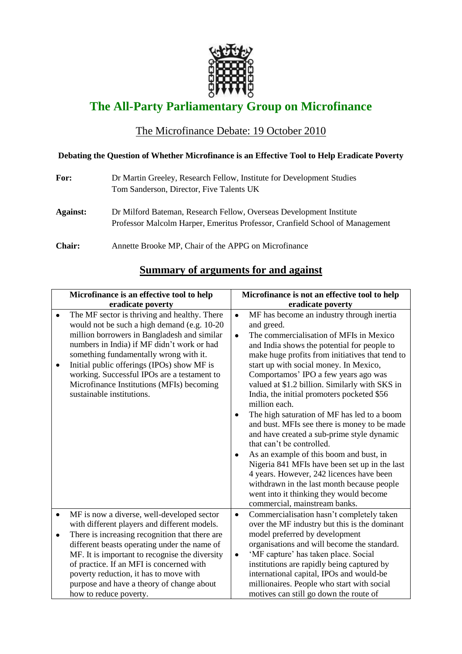

## **The All-Party Parliamentary Group on Microfinance**

## The Microfinance Debate: 19 October 2010

## **Debating the Question of Whether Microfinance is an Effective Tool to Help Eradicate Poverty**

| For:            | Dr Martin Greeley, Research Fellow, Institute for Development Studies<br>Tom Sanderson, Director, Five Talents UK                                   |
|-----------------|-----------------------------------------------------------------------------------------------------------------------------------------------------|
| <b>Against:</b> | Dr Milford Bateman, Research Fellow, Overseas Development Institute<br>Professor Malcolm Harper, Emeritus Professor, Cranfield School of Management |
| <b>Chair:</b>   | Annette Brooke MP, Chair of the APPG on Microfinance                                                                                                |

## **Summary of arguments for and against**

| Microfinance is an effective tool to help |                                                |           | Microfinance is not an effective tool to help   |  |  |
|-------------------------------------------|------------------------------------------------|-----------|-------------------------------------------------|--|--|
|                                           | eradicate poverty                              |           | eradicate poverty                               |  |  |
| $\bullet$                                 | The MF sector is thriving and healthy. There   | $\bullet$ | MF has become an industry through inertia       |  |  |
|                                           | would not be such a high demand (e.g. 10-20)   |           | and greed.                                      |  |  |
|                                           | million borrowers in Bangladesh and similar    | $\bullet$ | The commercialisation of MFIs in Mexico         |  |  |
|                                           | numbers in India) if MF didn't work or had     |           | and India shows the potential for people to     |  |  |
|                                           | something fundamentally wrong with it.         |           | make huge profits from initiatives that tend to |  |  |
| $\bullet$                                 | Initial public offerings (IPOs) show MF is     |           | start up with social money. In Mexico,          |  |  |
|                                           | working. Successful IPOs are a testament to    |           | Comportamos' IPO a few years ago was            |  |  |
|                                           | Microfinance Institutions (MFIs) becoming      |           | valued at \$1.2 billion. Similarly with SKS in  |  |  |
|                                           | sustainable institutions.                      |           | India, the initial promoters pocketed \$56      |  |  |
|                                           |                                                |           | million each.                                   |  |  |
|                                           |                                                |           | The high saturation of MF has led to a boom     |  |  |
|                                           |                                                |           | and bust. MFIs see there is money to be made    |  |  |
|                                           |                                                |           | and have created a sub-prime style dynamic      |  |  |
|                                           |                                                |           | that can't be controlled.                       |  |  |
|                                           |                                                | ٠         | As an example of this boom and bust, in         |  |  |
|                                           |                                                |           | Nigeria 841 MFIs have been set up in the last   |  |  |
|                                           |                                                |           | 4 years. However, 242 licences have been        |  |  |
|                                           |                                                |           | withdrawn in the last month because people      |  |  |
|                                           |                                                |           | went into it thinking they would become         |  |  |
|                                           |                                                |           | commercial, mainstream banks.                   |  |  |
| $\bullet$                                 | MF is now a diverse, well-developed sector     | $\bullet$ | Commercialisation hasn't completely taken       |  |  |
|                                           | with different players and different models.   |           | over the MF industry but this is the dominant   |  |  |
| ٠                                         | There is increasing recognition that there are |           | model preferred by development                  |  |  |
|                                           | different beasts operating under the name of   |           | organisations and will become the standard.     |  |  |
|                                           | MF. It is important to recognise the diversity | $\bullet$ | 'MF capture' has taken place. Social            |  |  |
|                                           | of practice. If an MFI is concerned with       |           | institutions are rapidly being captured by      |  |  |
|                                           | poverty reduction, it has to move with         |           | international capital, IPOs and would-be        |  |  |
|                                           | purpose and have a theory of change about      |           | millionaires. People who start with social      |  |  |
|                                           | how to reduce poverty.                         |           | motives can still go down the route of          |  |  |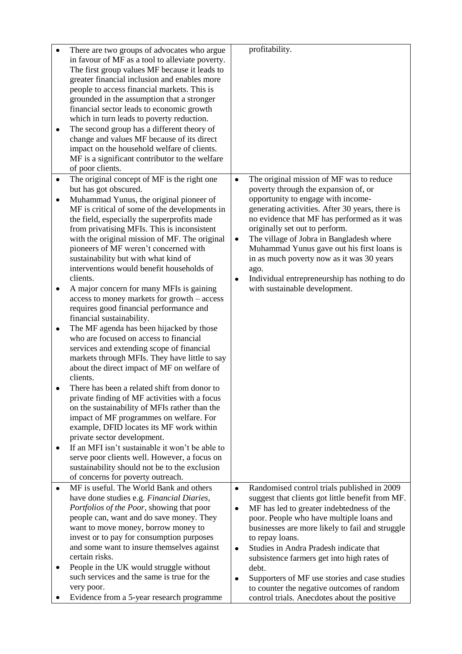|           | There are two groups of advocates who argue<br>in favour of MF as a tool to alleviate poverty.<br>The first group values MF because it leads to<br>greater financial inclusion and enables more |           | profitability.                                                                             |
|-----------|-------------------------------------------------------------------------------------------------------------------------------------------------------------------------------------------------|-----------|--------------------------------------------------------------------------------------------|
|           | people to access financial markets. This is                                                                                                                                                     |           |                                                                                            |
|           | grounded in the assumption that a stronger<br>financial sector leads to economic growth                                                                                                         |           |                                                                                            |
|           | which in turn leads to poverty reduction.                                                                                                                                                       |           |                                                                                            |
| $\bullet$ | The second group has a different theory of                                                                                                                                                      |           |                                                                                            |
|           | change and values MF because of its direct                                                                                                                                                      |           |                                                                                            |
|           | impact on the household welfare of clients.                                                                                                                                                     |           |                                                                                            |
|           | MF is a significant contributor to the welfare                                                                                                                                                  |           |                                                                                            |
|           | of poor clients.                                                                                                                                                                                |           |                                                                                            |
| ٠         | The original concept of MF is the right one<br>but has got obscured.                                                                                                                            | $\bullet$ | The original mission of MF was to reduce<br>poverty through the expansion of, or           |
| ٠         | Muhammad Yunus, the original pioneer of                                                                                                                                                         |           | opportunity to engage with income-                                                         |
|           | MF is critical of some of the developments in                                                                                                                                                   |           | generating activities. After 30 years, there is                                            |
|           | the field, especially the superprofits made                                                                                                                                                     |           | no evidence that MF has performed as it was                                                |
|           | from privatising MFIs. This is inconsistent                                                                                                                                                     |           | originally set out to perform.                                                             |
|           | with the original mission of MF. The original                                                                                                                                                   | $\bullet$ | The village of Jobra in Bangladesh where                                                   |
|           | pioneers of MF weren't concerned with                                                                                                                                                           |           | Muhammad Yunus gave out his first loans is                                                 |
|           | sustainability but with what kind of<br>interventions would benefit households of                                                                                                               |           | in as much poverty now as it was 30 years                                                  |
|           | clients.                                                                                                                                                                                        | $\bullet$ | ago.<br>Individual entrepreneurship has nothing to do                                      |
| ٠         | A major concern for many MFIs is gaining                                                                                                                                                        |           | with sustainable development.                                                              |
|           | access to money markets for growth - access                                                                                                                                                     |           |                                                                                            |
|           | requires good financial performance and                                                                                                                                                         |           |                                                                                            |
|           | financial sustainability.                                                                                                                                                                       |           |                                                                                            |
| ٠         | The MF agenda has been hijacked by those                                                                                                                                                        |           |                                                                                            |
|           | who are focused on access to financial<br>services and extending scope of financial                                                                                                             |           |                                                                                            |
|           | markets through MFIs. They have little to say                                                                                                                                                   |           |                                                                                            |
|           | about the direct impact of MF on welfare of                                                                                                                                                     |           |                                                                                            |
|           | clients.                                                                                                                                                                                        |           |                                                                                            |
|           | There has been a related shift from donor to                                                                                                                                                    |           |                                                                                            |
|           | private finding of MF activities with a focus                                                                                                                                                   |           |                                                                                            |
|           | on the sustainability of MFIs rather than the                                                                                                                                                   |           |                                                                                            |
|           | impact of MF programmes on welfare. For<br>example, DFID locates its MF work within                                                                                                             |           |                                                                                            |
|           | private sector development.                                                                                                                                                                     |           |                                                                                            |
| ٠         | If an MFI isn't sustainable it won't be able to                                                                                                                                                 |           |                                                                                            |
|           | serve poor clients well. However, a focus on                                                                                                                                                    |           |                                                                                            |
|           | sustainability should not be to the exclusion                                                                                                                                                   |           |                                                                                            |
|           | of concerns for poverty outreach.                                                                                                                                                               |           |                                                                                            |
|           | MF is useful. The World Bank and others                                                                                                                                                         | $\bullet$ | Randomised control trials published in 2009                                                |
|           | have done studies e.g. Financial Diaries,<br>Portfolios of the Poor, showing that poor                                                                                                          |           | suggest that clients got little benefit from MF.                                           |
|           | people can, want and do save money. They                                                                                                                                                        | $\bullet$ | MF has led to greater indebtedness of the<br>poor. People who have multiple loans and      |
|           | want to move money, borrow money to                                                                                                                                                             |           | businesses are more likely to fail and struggle                                            |
|           | invest or to pay for consumption purposes                                                                                                                                                       |           | to repay loans.                                                                            |
|           | and some want to insure themselves against                                                                                                                                                      | $\bullet$ | Studies in Andra Pradesh indicate that                                                     |
|           | certain risks.                                                                                                                                                                                  |           | subsistence farmers get into high rates of                                                 |
| ٠         | People in the UK would struggle without                                                                                                                                                         |           | debt.                                                                                      |
|           | such services and the same is true for the                                                                                                                                                      | ٠         | Supporters of MF use stories and case studies                                              |
|           | very poor.<br>Evidence from a 5-year research programme                                                                                                                                         |           | to counter the negative outcomes of random<br>control trials. Anecdotes about the positive |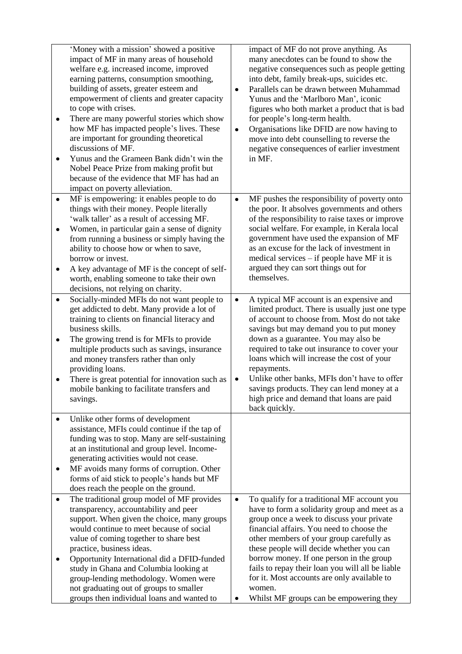| ٠<br>٠                              | 'Money with a mission' showed a positive<br>impact of MF in many areas of household<br>welfare e.g. increased income, improved<br>earning patterns, consumption smoothing,<br>building of assets, greater esteem and<br>empowerment of clients and greater capacity<br>to cope with crises.<br>There are many powerful stories which show<br>how MF has impacted people's lives. These<br>are important for grounding theoretical<br>discussions of MF.<br>Yunus and the Grameen Bank didn't win the<br>Nobel Peace Prize from making profit but<br>because of the evidence that MF has had an<br>impact on poverty alleviation. | $\bullet$<br>$\bullet$ | impact of MF do not prove anything. As<br>many anecdotes can be found to show the<br>negative consequences such as people getting<br>into debt, family break-ups, suicides etc.<br>Parallels can be drawn between Muhammad<br>Yunus and the 'Marlboro Man', iconic<br>figures who both market a product that is bad<br>for people's long-term health.<br>Organisations like DFID are now having to<br>move into debt counselling to reverse the<br>negative consequences of earlier investment<br>in MF. |
|-------------------------------------|----------------------------------------------------------------------------------------------------------------------------------------------------------------------------------------------------------------------------------------------------------------------------------------------------------------------------------------------------------------------------------------------------------------------------------------------------------------------------------------------------------------------------------------------------------------------------------------------------------------------------------|------------------------|----------------------------------------------------------------------------------------------------------------------------------------------------------------------------------------------------------------------------------------------------------------------------------------------------------------------------------------------------------------------------------------------------------------------------------------------------------------------------------------------------------|
| $\bullet$<br>$\bullet$<br>$\bullet$ | MF is empowering: it enables people to do<br>things with their money. People literally<br>'walk taller' as a result of accessing MF.<br>Women, in particular gain a sense of dignity<br>from running a business or simply having the<br>ability to choose how or when to save,<br>borrow or invest.<br>A key advantage of MF is the concept of self-<br>worth, enabling someone to take their own<br>decisions, not relying on charity.                                                                                                                                                                                          | $\bullet$              | MF pushes the responsibility of poverty onto<br>the poor. It absolves governments and others<br>of the responsibility to raise taxes or improve<br>social welfare. For example, in Kerala local<br>government have used the expansion of MF<br>as an excuse for the lack of investment in<br>medical services – if people have MF it is<br>argued they can sort things out for<br>themselves.                                                                                                            |
| ٠<br>٠<br>٠                         | Socially-minded MFIs do not want people to<br>get addicted to debt. Many provide a lot of<br>training to clients on financial literacy and<br>business skills.<br>The growing trend is for MFIs to provide<br>multiple products such as savings, insurance<br>and money transfers rather than only<br>providing loans.<br>There is great potential for innovation such as<br>mobile banking to facilitate transfers and<br>savings.                                                                                                                                                                                              | $\bullet$<br>٠         | A typical MF account is an expensive and<br>limited product. There is usually just one type<br>of account to choose from. Most do not take<br>savings but may demand you to put money<br>down as a guarantee. You may also be<br>required to take out insurance to cover your<br>loans which will increase the cost of your<br>repayments.<br>Unlike other banks, MFIs don't have to offer<br>savings products. They can lend money at a<br>high price and demand that loans are paid<br>back quickly.   |
| ٠<br>٠                              | Unlike other forms of development<br>assistance, MFIs could continue if the tap of<br>funding was to stop. Many are self-sustaining<br>at an institutional and group level. Income-<br>generating activities would not cease.<br>MF avoids many forms of corruption. Other<br>forms of aid stick to people's hands but MF<br>does reach the people on the ground.                                                                                                                                                                                                                                                                |                        |                                                                                                                                                                                                                                                                                                                                                                                                                                                                                                          |
| ٠                                   | The traditional group model of MF provides<br>transparency, accountability and peer<br>support. When given the choice, many groups<br>would continue to meet because of social<br>value of coming together to share best<br>practice, business ideas.<br>Opportunity International did a DFID-funded<br>study in Ghana and Columbia looking at<br>group-lending methodology. Women were<br>not graduating out of groups to smaller<br>groups then individual loans and wanted to                                                                                                                                                 | $\bullet$              | To qualify for a traditional MF account you<br>have to form a solidarity group and meet as a<br>group once a week to discuss your private<br>financial affairs. You need to choose the<br>other members of your group carefully as<br>these people will decide whether you can<br>borrow money. If one person in the group<br>fails to repay their loan you will all be liable<br>for it. Most accounts are only available to<br>women.<br>Whilst MF groups can be empowering they                       |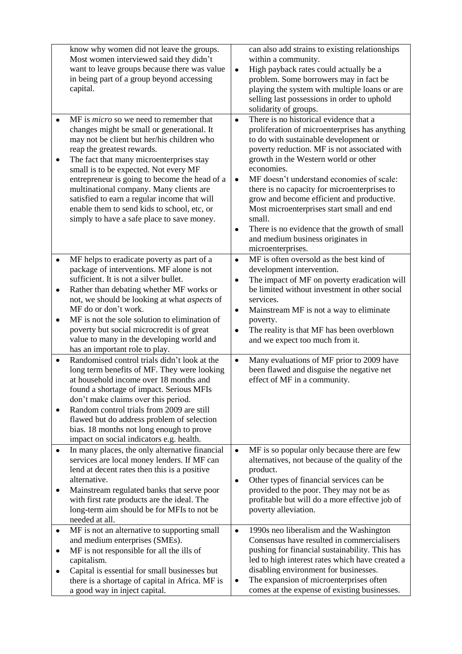|                                     | know why women did not leave the groups.<br>Most women interviewed said they didn't<br>want to leave groups because there was value<br>in being part of a group beyond accessing<br>capital.                                                                                                                                                                                                                                                                                                           | $\bullet$                                        | can also add strains to existing relationships<br>within a community.<br>High payback rates could actually be a<br>problem. Some borrowers may in fact be<br>playing the system with multiple loans or are<br>selling last possessions in order to uphold<br>solidarity of groups.                                                                                                                                                                                                                                                                  |
|-------------------------------------|--------------------------------------------------------------------------------------------------------------------------------------------------------------------------------------------------------------------------------------------------------------------------------------------------------------------------------------------------------------------------------------------------------------------------------------------------------------------------------------------------------|--------------------------------------------------|-----------------------------------------------------------------------------------------------------------------------------------------------------------------------------------------------------------------------------------------------------------------------------------------------------------------------------------------------------------------------------------------------------------------------------------------------------------------------------------------------------------------------------------------------------|
| $\bullet$<br>٠                      | MF is <i>micro</i> so we need to remember that<br>changes might be small or generational. It<br>may not be client but her/his children who<br>reap the greatest rewards.<br>The fact that many microenterprises stay<br>small is to be expected. Not every MF<br>entrepreneur is going to become the head of a<br>multinational company. Many clients are<br>satisfied to earn a regular income that will<br>enable them to send kids to school, etc, or<br>simply to have a safe place to save money. | $\bullet$<br>$\bullet$<br>٠                      | There is no historical evidence that a<br>proliferation of microenterprises has anything<br>to do with sustainable development or<br>poverty reduction. MF is not associated with<br>growth in the Western world or other<br>economies.<br>MF doesn't understand economies of scale:<br>there is no capacity for microenterprises to<br>grow and become efficient and productive.<br>Most microenterprises start small and end<br>small.<br>There is no evidence that the growth of small<br>and medium business originates in<br>microenterprises. |
| $\bullet$<br>$\bullet$<br>$\bullet$ | MF helps to eradicate poverty as part of a<br>package of interventions. MF alone is not<br>sufficient. It is not a silver bullet.<br>Rather than debating whether MF works or<br>not, we should be looking at what aspects of<br>MF do or don't work.<br>MF is not the sole solution to elimination of<br>poverty but social microcredit is of great<br>value to many in the developing world and<br>has an important role to play.                                                                    | $\bullet$<br>$\bullet$<br>$\bullet$<br>$\bullet$ | MF is often oversold as the best kind of<br>development intervention.<br>The impact of MF on poverty eradication will<br>be limited without investment in other social<br>services.<br>Mainstream MF is not a way to eliminate<br>poverty.<br>The reality is that MF has been overblown<br>and we expect too much from it.                                                                                                                                                                                                                          |
| $\bullet$<br>٠                      | Randomised control trials didn't look at the<br>long term benefits of MF. They were looking<br>at household income over 18 months and<br>found a shortage of impact. Serious MFIs<br>don't make claims over this period.<br>Random control trials from 2009 are still<br>flawed but do address problem of selection<br>bias. 18 months not long enough to prove<br>impact on social indicators e.g. health.                                                                                            | $\bullet$                                        | Many evaluations of MF prior to 2009 have<br>been flawed and disguise the negative net<br>effect of MF in a community.                                                                                                                                                                                                                                                                                                                                                                                                                              |
| $\bullet$<br>٠                      | In many places, the only alternative financial<br>services are local money lenders. If MF can<br>lend at decent rates then this is a positive<br>alternative.<br>Mainstream regulated banks that serve poor<br>with first rate products are the ideal. The<br>long-term aim should be for MFIs to not be<br>needed at all.                                                                                                                                                                             | $\bullet$<br>٠                                   | MF is so popular only because there are few<br>alternatives, not because of the quality of the<br>product.<br>Other types of financial services can be<br>provided to the poor. They may not be as<br>profitable but will do a more effective job of<br>poverty alleviation.                                                                                                                                                                                                                                                                        |
| ٠<br>٠<br>٠                         | MF is not an alternative to supporting small<br>and medium enterprises (SMEs).<br>MF is not responsible for all the ills of<br>capitalism.<br>Capital is essential for small businesses but<br>there is a shortage of capital in Africa. MF is<br>a good way in inject capital.                                                                                                                                                                                                                        | $\bullet$<br>٠                                   | 1990s neo liberalism and the Washington<br>Consensus have resulted in commercialisers<br>pushing for financial sustainability. This has<br>led to high interest rates which have created a<br>disabling environment for businesses.<br>The expansion of microenterprises often<br>comes at the expense of existing businesses.                                                                                                                                                                                                                      |